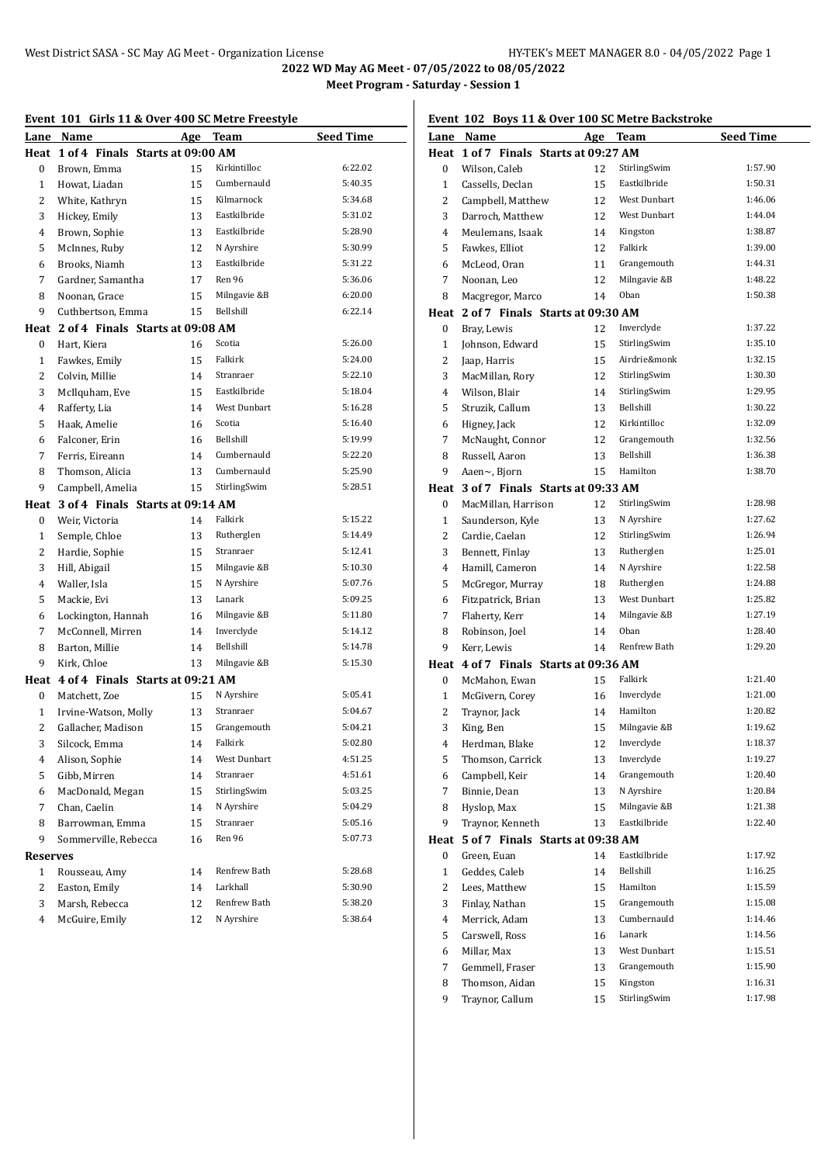|              | Event 101 Girls 11 & Over 400 SC Metre Freestyle |    |              |                  |  |
|--------------|--------------------------------------------------|----|--------------|------------------|--|
|              | Lane Name                                        |    | Age Team     | <b>Seed Time</b> |  |
| Heat         | 1 of 4 Finals Starts at 09:00 AM                 |    |              |                  |  |
| 0            | Brown, Emma                                      | 15 | Kirkintilloc | 6:22.02          |  |
| $\mathbf{1}$ | Howat, Liadan                                    | 15 | Cumbernauld  | 5:40.35          |  |
| 2            | White, Kathryn                                   | 15 | Kilmarnock   | 5:34.68          |  |
| 3            | Hickey, Emily                                    | 13 | Eastkilbride | 5:31.02          |  |
| 4            | Brown, Sophie                                    | 13 | Eastkilbride | 5:28.90          |  |
| 5            | McInnes, Ruby                                    | 12 | N Ayrshire   | 5:30.99          |  |
| 6            | Brooks, Niamh                                    | 13 | Eastkilbride | 5:31.22          |  |
| 7            | Gardner, Samantha                                | 17 | Ren 96       | 5:36.06          |  |
| 8            | Noonan, Grace                                    | 15 | Milngavie &B | 6:20.00          |  |
| 9            | Cuthbertson, Emma                                | 15 | Bellshill    | 6:22.14          |  |
| Heat         | 2 of 4 Finals Starts at 09:08 AM                 |    |              |                  |  |
| 0            | Hart, Kiera                                      | 16 | Scotia       | 5:26.00          |  |
| $\mathbf{1}$ | Fawkes, Emily                                    | 15 | Falkirk      | 5:24.00          |  |
| 2            | Colvin, Millie                                   | 14 | Stranraer    | 5:22.10          |  |
| 3            | McIlquham, Eve                                   | 15 | Eastkilbride | 5:18.04          |  |
| 4            | Rafferty, Lia                                    | 14 | West Dunbart | 5:16.28          |  |
| 5            | Haak, Amelie                                     | 16 | Scotia       | 5:16.40          |  |
| 6            | Falconer, Erin                                   | 16 | Bellshill    | 5:19.99          |  |
| 7            | Ferris, Eireann                                  | 14 | Cumbernauld  | 5:22.20          |  |
| 8            | Thomson, Alicia                                  | 13 | Cumbernauld  | 5:25.90          |  |
| 9            | Campbell, Amelia                                 | 15 | StirlingSwim | 5:28.51          |  |
| Heat         | 3 of 4 Finals Starts at 09:14 AM                 |    |              |                  |  |
| 0            | Weir, Victoria                                   | 14 | Falkirk      | 5:15.22          |  |
| 1            | Semple, Chloe                                    | 13 | Rutherglen   | 5:14.49          |  |
| 2            | Hardie, Sophie                                   | 15 | Stranraer    | 5:12.41          |  |
| 3            | Hill, Abigail                                    | 15 | Milngavie &B | 5:10.30          |  |
| 4            | Waller, Isla                                     | 15 | N Ayrshire   | 5:07.76          |  |
| 5            | Mackie, Evi                                      | 13 | Lanark       | 5:09.25          |  |
| 6            | Lockington, Hannah                               | 16 | Milngavie &B | 5:11.80          |  |
| 7            | McConnell, Mirren                                | 14 | Inverclyde   | 5:14.12          |  |
| 8            | Barton, Millie                                   | 14 | Bellshill    | 5:14.78          |  |
| 9            | Kirk, Chloe                                      | 13 | Milngavie &B | 5:15.30          |  |
|              | Heat 4 of 4 Finals Starts at 09:21 AM            |    |              |                  |  |
| 0            | Matchett, Zoe                                    | 15 | N Ayrshire   | 5:05.41          |  |
| $\mathbf{1}$ | Irvine-Watson, Molly                             | 13 | Stranraer    | 5:04.67          |  |
| $\mathbf{2}$ | Gallacher, Madison                               | 15 | Grangemouth  | 5:04.21          |  |
| 3            | Silcock, Emma                                    | 14 | Falkirk      | 5:02.80          |  |
| 4            | Alison, Sophie                                   | 14 | West Dunbart | 4:51.25          |  |
| 5            | Gibb, Mirren                                     | 14 | Stranraer    | 4:51.61          |  |
| 6            | MacDonald, Megan                                 | 15 | StirlingSwim | 5:03.25          |  |
| 7            | Chan, Caelin                                     | 14 | N Ayrshire   | 5:04.29          |  |
| 8            | Barrowman, Emma                                  | 15 | Stranraer    | 5:05.16          |  |
| 9            | Sommerville, Rebecca                             | 16 | Ren 96       | 5:07.73          |  |
| Reserves     |                                                  |    |              |                  |  |
| $\mathbf{1}$ | Rousseau, Amy                                    | 14 | Renfrew Bath | 5:28.68          |  |
| 2            | Easton, Emily                                    | 14 | Larkhall     | 5:30.90          |  |
| 3            | Marsh, Rebecca                                   | 12 | Renfrew Bath | 5:38.20          |  |
| 4            | McGuire, Emily                                   | 12 | N Ayrshire   | 5:38.64          |  |
|              |                                                  |    |              |                  |  |

## **Event 102 Boys 11 & Over 100 SC Metre Backstroke**

|                         | LVCht 102 Doys 11 & OVC1 100 SC MCHC Dackstroke |          |              |                  |
|-------------------------|-------------------------------------------------|----------|--------------|------------------|
|                         | Lane Name                                       |          | Age Team     | <b>Seed Time</b> |
|                         | Heat 1 of 7 Finals Starts at 09:27 AM           |          |              |                  |
| 0                       | Wilson, Caleb                                   | 12       | StirlingSwim | 1:57.90          |
| $\mathbf{1}$            | Cassells, Declan                                | 15       | Eastkilbride | 1:50.31          |
| 2                       | Campbell, Matthew                               | 12       | West Dunbart | 1:46.06          |
| 3                       | Darroch, Matthew                                | 12       | West Dunbart | 1:44.04          |
| 4                       | Meulemans, Isaak                                | 14       | Kingston     | 1:38.87          |
| 5                       | Fawkes, Elliot                                  | 12       | Falkirk      | 1:39.00          |
| 6                       | McLeod, Oran                                    | 11       | Grangemouth  | 1:44.31          |
| 7                       | Noonan, Leo                                     | 12       | Milngavie &B | 1:48.22          |
| 8                       | Macgregor, Marco                                | 14       | Oban         | 1:50.38          |
|                         | Heat 2 of 7 Finals Starts at 09:30 AM           |          |              |                  |
| 0                       | Bray, Lewis                                     | 12       | Inverclyde   | 1:37.22          |
| $\mathbf{1}$            | Johnson, Edward                                 | 15       | StirlingSwim | 1:35.10          |
| 2                       | Jaap, Harris                                    | 15       | Airdrie&monk | 1:32.15          |
| 3                       | MacMillan, Rory                                 | 12       | StirlingSwim | 1:30.30          |
| 4                       | Wilson, Blair                                   | 14       | StirlingSwim | 1:29.95          |
| 5                       | Struzik, Callum                                 | 13       | Bellshill    | 1:30.22          |
| 6                       | Higney, Jack                                    | 12       | Kirkintilloc | 1:32.09          |
| 7                       | McNaught, Connor                                | 12       | Grangemouth  | 1:32.56          |
| 8                       | Russell, Aaron                                  | 13       | Bellshill    | 1:36.38          |
| 9                       | Aaen~, Bjorn                                    | 15       | Hamilton     | 1:38.70          |
|                         | Heat 3 of 7 Finals Starts at 09:33 AM           |          |              |                  |
| 0                       | MacMillan, Harrison                             | 12       | StirlingSwim | 1:28.98          |
| 1                       | Saunderson, Kyle                                | 13       | N Ayrshire   | 1:27.62          |
| 2                       | Cardie, Caelan                                  | 12       | StirlingSwim | 1:26.94          |
| 3                       | Bennett, Finlay                                 | 13       | Rutherglen   | 1:25.01          |
| 4                       | Hamill, Cameron                                 | 14       | N Ayrshire   | 1:22.58          |
| 5                       | McGregor, Murray                                | 18       | Rutherglen   | 1:24.88          |
| 6                       | Fitzpatrick, Brian                              | 13       | West Dunbart | 1:25.82          |
| 7                       | Flaherty, Kerr                                  | 14       | Milngavie &B | 1:27.19          |
| 8                       | Robinson, Joel                                  | 14       | Oban         | 1:28.40          |
| 9                       | Kerr, Lewis                                     | 14       | Renfrew Bath | 1:29.20          |
|                         | Heat 4 of 7 Finals Starts at 09:36 AM           |          |              |                  |
| 0                       | McMahon, Ewan                                   | 15       | Falkirk      | 1:21.40          |
| 1                       | McGivern, Corey                                 | 16       | Inverclyde   | 1:21.00          |
| 2                       | Traynor, Jack                                   | 14       | Hamilton     | 1:20.82          |
| 3                       | King, Ben                                       | 15       | Milngavie &B | 1:19.62          |
| $\overline{\mathbf{4}}$ | Herdman, Blake                                  | 12       | Inverclyde   | 1:18.37          |
| 5                       | Thomson, Carrick                                |          | Inverclyde   | 1:19.27          |
|                         | Campbell, Keir                                  | 13<br>14 | Grangemouth  | 1:20.40          |
| 6                       |                                                 |          | N Ayrshire   | 1:20.84          |
| 7                       | Binnie, Dean                                    | 13       | Milngavie &B | 1:21.38          |
| 8                       | Hyslop, Max                                     | 15       | Eastkilbride |                  |
| 9                       | Traynor, Kenneth                                | 13       |              | 1:22.40          |
| Heat                    | 5 of 7 Finals Starts at 09:38 AM                |          |              |                  |
| 0                       | Green, Euan                                     | 14       | Eastkilbride | 1:17.92          |
| 1                       | Geddes, Caleb                                   | 14       | Bellshill    | 1:16.25          |
| 2                       | Lees, Matthew                                   | 15       | Hamilton     | 1:15.59          |
| 3                       | Finlay, Nathan                                  | 15       | Grangemouth  | 1:15.08          |
| $\overline{4}$          | Merrick, Adam                                   | 13       | Cumbernauld  | 1:14.46          |
| 5                       | Carswell, Ross                                  | 16       | Lanark       | 1:14.56          |
| 6                       | Millar, Max                                     | 13       | West Dunbart | 1:15.51          |
| 7                       | Gemmell, Fraser                                 | 13       | Grangemouth  | 1:15.90          |
| 8                       | Thomson, Aidan                                  | 15       | Kingston     | 1:16.31          |
| 9                       | Traynor, Callum                                 | 15       | StirlingSwim | 1:17.98          |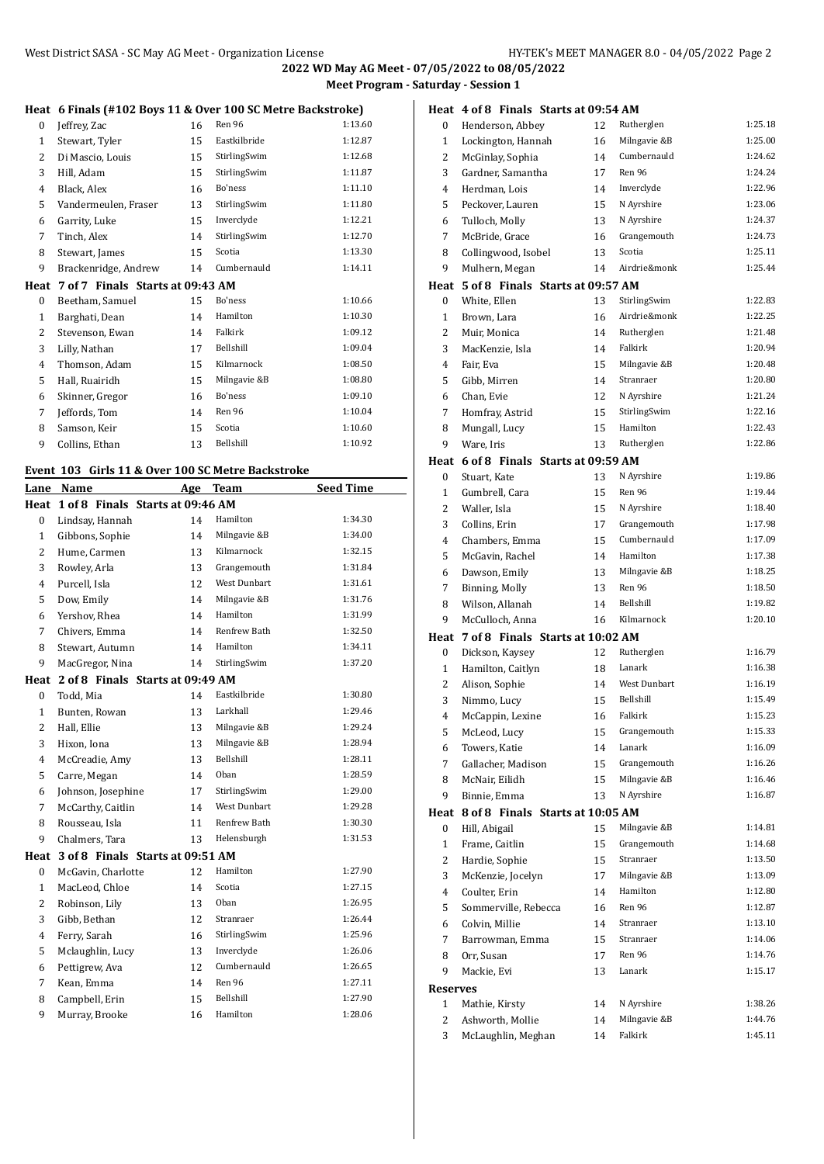## **Heat 6 Finals (#102 Boys 11 & Over 100 SC Metre Backstroke)**

|                |                                  |    | Heal   0 Filiais (#102 DOVS 11 & OVEL 100 SC Mette DackStroke) |         |
|----------------|----------------------------------|----|----------------------------------------------------------------|---------|
| 0              | Jeffrey, Zac                     | 16 | Ren 96                                                         | 1:13.60 |
| 1              | Stewart, Tyler                   | 15 | Eastkilbride                                                   | 1:12.87 |
| 2              | Di Mascio, Louis                 | 15 | StirlingSwim                                                   | 1:12.68 |
| 3              | Hill, Adam                       | 15 | StirlingSwim                                                   | 1:11.87 |
| $\overline{4}$ | Black, Alex                      | 16 | Bo'ness                                                        | 1:11.10 |
| 5              | Vandermeulen, Fraser             | 13 | StirlingSwim                                                   | 1:11.80 |
| 6              | Garrity, Luke                    | 15 | Inverclyde                                                     | 1:12.21 |
| 7              | Tinch, Alex                      | 14 | StirlingSwim                                                   | 1:12.70 |
| 8              | Stewart, James                   | 15 | Scotia                                                         | 1:13.30 |
| 9              | Brackenridge, Andrew             | 14 | Cumbernauld                                                    | 1:14.11 |
| Heat           | 7 of 7 Finals Starts at 09:43 AM |    |                                                                |         |
| 0              | Beetham, Samuel                  | 15 | Bo'ness                                                        | 1:10.66 |
| $\mathbf{1}$   | Barghati, Dean                   | 14 | Hamilton                                                       | 1:10.30 |
| $\overline{2}$ | Stevenson, Ewan                  | 14 | Falkirk                                                        | 1:09.12 |
| 3              | Lilly, Nathan                    | 17 | Bellshill                                                      | 1:09.04 |
| $\overline{4}$ | Thomson, Adam                    | 15 | Kilmarnock                                                     | 1:08.50 |
| 5              | Hall, Ruairidh                   | 15 | Milngavie &B                                                   | 1:08.80 |
| 6              | Skinner, Gregor                  | 16 | Bo'ness                                                        | 1:09.10 |
| 7              | Jeffords, Tom                    | 14 | Ren 96                                                         | 1:10.04 |
| 8              | Samson, Keir                     | 15 | Scotia                                                         | 1:10.60 |
| 9              | Collins, Ethan                   | 13 | Bellshill                                                      | 1:10.92 |

#### **Event 103 Girls 11 & Over 100 SC Metre Backstroke**

| Lane           | Name                             | Age | <b>Team</b>         | <b>Seed Time</b> |
|----------------|----------------------------------|-----|---------------------|------------------|
| Heat           | 1 of 8 Finals Starts at 09:46 AM |     |                     |                  |
| 0              | Lindsay, Hannah                  | 14  | Hamilton            | 1:34.30          |
| 1              | Gibbons, Sophie                  | 14  | Milngavie &B        | 1:34.00          |
| $\overline{2}$ | Hume, Carmen                     | 13  | Kilmarnock          | 1:32.15          |
| 3              | Rowley, Arla                     | 13  | Grangemouth         | 1:31.84          |
| $\overline{4}$ | Purcell, Isla                    | 12  | <b>West Dunbart</b> | 1:31.61          |
| 5              | Dow, Emily                       | 14  | Milngavie &B        | 1:31.76          |
| 6              | Yershov, Rhea                    | 14  | Hamilton            | 1:31.99          |
| 7              | Chivers, Emma                    | 14  | Renfrew Bath        | 1:32.50          |
| 8              | Stewart, Autumn                  | 14  | Hamilton            | 1:34.11          |
| 9              | MacGregor, Nina                  | 14  | StirlingSwim        | 1:37.20          |
| Heat           | 2 of 8 Finals Starts at 09:49 AM |     |                     |                  |
| 0              | Todd, Mia                        | 14  | Eastkilbride        | 1:30.80          |
| 1              | Bunten, Rowan                    | 13  | Larkhall            | 1:29.46          |
| $\overline{2}$ | Hall, Ellie                      | 13  | Milngavie &B        | 1:29.24          |
| 3              | Hixon, Iona                      | 13  | Milngavie &B        | 1:28.94          |
| $\overline{4}$ | McCreadie, Amy                   | 13  | Bellshill           | 1:28.11          |
| 5              | Carre, Megan                     | 14  | Oban                | 1:28.59          |
| 6              | Johnson, Josephine               | 17  | StirlingSwim        | 1:29.00          |
| 7              | McCarthy, Caitlin                | 14  | <b>West Dunbart</b> | 1:29.28          |
| 8              | Rousseau. Isla                   | 11  | Renfrew Bath        | 1:30.30          |
| 9              | Chalmers, Tara                   | 13  | Helensburgh         | 1:31.53          |
| Heat           | 3 of 8 Finals Starts at 09:51 AM |     |                     |                  |
| $\bf{0}$       | McGavin, Charlotte               | 12  | Hamilton            | 1:27.90          |
| 1              | MacLeod, Chloe                   | 14  | Scotia              | 1:27.15          |
| $\overline{c}$ | Robinson, Lily                   | 13  | Oban                | 1:26.95          |
| 3              | Gibb, Bethan                     | 12  | Stranraer           | 1:26.44          |
| 4              | Ferry, Sarah                     | 16  | StirlingSwim        | 1:25.96          |
| 5              | Mclaughlin, Lucy                 | 13  | Inverclyde          | 1:26.06          |
| 6              | Pettigrew, Ava                   | 12  | Cumbernauld         | 1:26.65          |
| 7              | Kean, Emma                       | 14  | Ren 96              | 1:27.11          |
| 8              | Campbell, Erin                   | 15  | <b>Bellshill</b>    | 1:27.90          |
| 9              | Murray, Brooke                   | 16  | Hamilton            | 1:28.06          |
|                |                                  |     |                     |                  |

|                 |                |                      | Heat 4 of 8 Finals Starts at 09:54 AM |    |                     |         |
|-----------------|----------------|----------------------|---------------------------------------|----|---------------------|---------|
| 0               |                | Henderson, Abbey     |                                       | 12 | Rutherglen          | 1:25.18 |
| 1               |                | Lockington, Hannah   |                                       | 16 | Milngavie &B        | 1:25.00 |
| 2               |                | McGinlay, Sophia     |                                       | 14 | Cumbernauld         | 1:24.62 |
| 3               |                | Gardner, Samantha    |                                       | 17 | Ren 96              | 1:24.24 |
| 4               | Herdman, Lois  |                      |                                       | 14 | Inverclyde          | 1:22.96 |
| 5               |                | Peckover, Lauren     |                                       | 15 | N Ayrshire          | 1:23.06 |
| 6               | Tulloch, Molly |                      |                                       | 13 | N Ayrshire          | 1:24.37 |
| 7               |                | McBride, Grace       |                                       | 16 | Grangemouth         | 1:24.73 |
| 8               |                | Collingwood, Isobel  |                                       | 13 | Scotia              | 1:25.11 |
| 9               |                | Mulhern, Megan       |                                       | 14 | Airdrie&monk        | 1:25.44 |
|                 |                |                      | Heat 5 of 8 Finals Starts at 09:57 AM |    |                     |         |
|                 |                |                      |                                       | 13 | StirlingSwim        | 1:22.83 |
| 0               | White, Ellen   |                      |                                       |    | Airdrie&monk        | 1:22.25 |
| 1               | Brown, Lara    |                      |                                       | 16 |                     | 1:21.48 |
| 2               | Muir, Monica   |                      |                                       | 14 | Rutherglen          |         |
| 3               |                | MacKenzie, Isla      |                                       | 14 | Falkirk             | 1:20.94 |
| 4               | Fair, Eva      |                      |                                       | 15 | Milngavie &B        | 1:20.48 |
| 5               | Gibb, Mirren   |                      |                                       | 14 | Stranraer           | 1:20.80 |
| 6               | Chan, Evie     |                      |                                       | 12 | N Ayrshire          | 1:21.24 |
| 7               |                | Homfray, Astrid      |                                       | 15 | StirlingSwim        | 1:22.16 |
| 8               | Mungall, Lucy  |                      |                                       | 15 | Hamilton            | 1:22.43 |
| 9               | Ware, Iris     |                      |                                       | 13 | Rutherglen          | 1:22.86 |
|                 |                |                      | Heat 6 of 8 Finals Starts at 09:59 AM |    |                     |         |
| 0               | Stuart, Kate   |                      |                                       | 13 | N Ayrshire          | 1:19.86 |
| 1               | Gumbrell, Cara |                      |                                       | 15 | Ren 96              | 1:19.44 |
| 2               | Waller, Isla   |                      |                                       | 15 | N Ayrshire          | 1:18.40 |
| 3               | Collins, Erin  |                      |                                       | 17 | Grangemouth         | 1:17.98 |
| 4               |                | Chambers, Emma       |                                       | 15 | Cumbernauld         | 1:17.09 |
| 5               |                | McGavin, Rachel      |                                       | 14 | Hamilton            | 1:17.38 |
| 6               | Dawson, Emily  |                      |                                       | 13 | Milngavie &B        | 1:18.25 |
| 7               | Binning, Molly |                      |                                       | 13 | Ren 96              | 1:18.50 |
| 8               |                | Wilson, Allanah      |                                       | 14 | Bellshill           | 1:19.82 |
| 9               |                | McCulloch, Anna      |                                       | 16 | Kilmarnock          | 1:20.10 |
|                 |                |                      | Heat 7 of 8 Finals Starts at 10:02 AM |    |                     |         |
| 0               |                | Dickson, Kaysey      |                                       | 12 | Rutherglen          | 1:16.79 |
| 1               |                | Hamilton, Caitlyn    |                                       | 18 | Lanark              | 1:16.38 |
| 2               | Alison, Sophie |                      |                                       | 14 | <b>West Dunbart</b> | 1:16.19 |
| 3               | Nimmo, Lucy    |                      |                                       | 15 | Bellshill           | 1:15.49 |
| 4               |                | McCappin, Lexine     |                                       | 16 | Falkirk             | 1:15.23 |
| 5               | McLeod, Lucy   |                      |                                       | 15 | Grangemouth         | 1:15.33 |
| 6               | Towers, Katie  |                      |                                       | 14 | Lanark              | 1:16.09 |
| 7               |                | Gallacher, Madison   |                                       | 15 | Grangemouth         | 1:16.26 |
| 8               | McNair, Eilidh |                      |                                       | 15 | Milngavie &B        | 1:16.46 |
| 9               | Binnie, Emma   |                      |                                       | 13 | N Ayrshire          | 1:16.87 |
|                 |                |                      | Heat 8 of 8 Finals Starts at 10:05 AM |    |                     |         |
| 0               | Hill, Abigail  |                      |                                       | 15 | Milngavie &B        | 1:14.81 |
| 1               | Frame, Caitlin |                      |                                       | 15 | Grangemouth         | 1:14.68 |
| 2               | Hardie, Sophie |                      |                                       | 15 | Stranraer           | 1:13.50 |
| 3               |                | McKenzie, Jocelyn    |                                       | 17 | Milngavie &B        | 1:13.09 |
| 4               | Coulter, Erin  |                      |                                       | 14 | Hamilton            | 1:12.80 |
|                 |                |                      |                                       |    | Ren 96              | 1:12.87 |
| 5               |                | Sommerville, Rebecca |                                       | 16 |                     |         |
| 6               | Colvin, Millie |                      |                                       | 14 | Stranraer           | 1:13.10 |
| 7               |                | Barrowman, Emma      |                                       | 15 | Stranraer           | 1:14.06 |
| 8               | Orr, Susan     |                      |                                       | 17 | Ren 96              | 1:14.76 |
| 9               | Mackie, Evi    |                      |                                       | 13 | Lanark              | 1:15.17 |
| <b>Reserves</b> |                |                      |                                       |    |                     |         |
| 1               | Mathie, Kirsty |                      |                                       | 14 | N Ayrshire          | 1:38.26 |
| 2               |                | Ashworth, Mollie     |                                       | 14 | Milngavie &B        | 1:44.76 |
| 3               |                | McLaughlin, Meghan   |                                       | 14 | Falkirk             | 1:45.11 |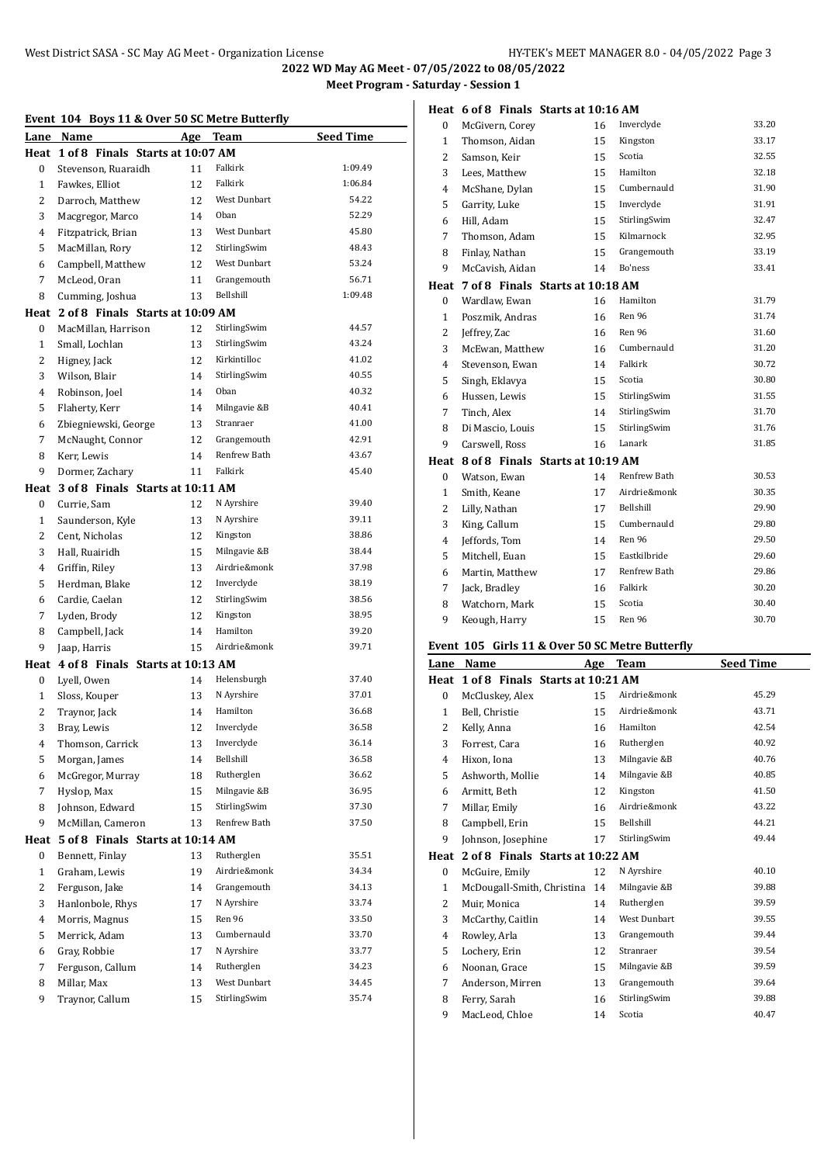**Heat 6 of 8 Finals Starts at 10:16 AM**

|                | Event 104 Boys 11 & Over 50 SC Metre Butterfly |    |                     |                  |  |
|----------------|------------------------------------------------|----|---------------------|------------------|--|
|                | Lane Name                                      |    | Age Team            | <b>Seed Time</b> |  |
| Heat           | 1 of 8 Finals Starts at 10:07 AM               |    |                     |                  |  |
| 0              | Stevenson, Ruaraidh                            | 11 | Falkirk             | 1:09.49          |  |
| $\mathbf{1}$   | Fawkes, Elliot                                 | 12 | Falkirk             | 1:06.84          |  |
| 2              | Darroch, Matthew                               | 12 | West Dunbart        | 54.22            |  |
| 3              | Macgregor, Marco                               | 14 | Oban                | 52.29            |  |
| 4              | Fitzpatrick, Brian                             | 13 | West Dunbart        | 45.80            |  |
| 5              | MacMillan, Rory                                | 12 | StirlingSwim        | 48.43            |  |
| 6              | Campbell, Matthew                              | 12 | <b>West Dunbart</b> | 53.24            |  |
| 7              | McLeod, Oran                                   | 11 | Grangemouth         | 56.71            |  |
| 8              | Cumming, Joshua                                | 13 | Bellshill           | 1:09.48          |  |
|                | Heat 2 of 8 Finals Starts at 10:09 AM          |    |                     |                  |  |
| $\mathbf{0}$   | MacMillan, Harrison                            | 12 | StirlingSwim        | 44.57            |  |
| $\mathbf{1}$   | Small, Lochlan                                 | 13 | StirlingSwim        | 43.24            |  |
| 2              | Higney, Jack                                   | 12 | Kirkintilloc        | 41.02            |  |
| 3              | Wilson, Blair                                  | 14 | StirlingSwim        | 40.55            |  |
| $\overline{4}$ | Robinson, Joel                                 | 14 | Oban                | 40.32            |  |
| 5              | Flaherty, Kerr                                 | 14 | Milngavie &B        | 40.41            |  |
| 6              | Zbiegniewski, George                           | 13 | Stranraer           | 41.00            |  |
| 7              | McNaught, Connor                               | 12 | Grangemouth         | 42.91            |  |
| 8              | Kerr, Lewis                                    | 14 | Renfrew Bath        | 43.67            |  |
| 9              | Dormer, Zachary                                | 11 | Falkirk             | 45.40            |  |
| Heat           | 3 of 8 Finals Starts at 10:11 AM               |    |                     |                  |  |
| 0              | Currie, Sam                                    | 12 | N Ayrshire          | 39.40            |  |
| $\mathbf{1}$   | Saunderson, Kyle                               | 13 | N Ayrshire          | 39.11            |  |
| 2              | Cent, Nicholas                                 | 12 | Kingston            | 38.86            |  |
| 3              | Hall, Ruairidh                                 | 15 | Milngavie &B        | 38.44            |  |
| $\overline{4}$ | Griffin, Riley                                 | 13 | Airdrie&monk        | 37.98            |  |
| 5              | Herdman, Blake                                 | 12 | Inverclyde          | 38.19            |  |
| 6              | Cardie, Caelan                                 | 12 | StirlingSwim        | 38.56            |  |
| 7              | Lyden, Brody                                   | 12 | Kingston            | 38.95            |  |
| 8              | Campbell, Jack                                 | 14 | Hamilton            | 39.20            |  |
| 9              | Jaap, Harris                                   | 15 | Airdrie&monk        | 39.71            |  |
| Heat           | 4 of 8 Finals Starts at 10:13 AM               |    |                     |                  |  |
| $\bf{0}$       | Lyell, Owen                                    | 14 | Helensburgh         | 37.40            |  |
| $\mathbf{1}$   | Sloss, Kouper                                  | 13 | N Ayrshire          | 37.01            |  |
| 2              | Traynor, Jack                                  | 14 | Hamilton            | 36.68            |  |
| 3              | Bray, Lewis                                    | 12 | Inverclyde          | 36.58            |  |
| 4              | Thomson, Carrick                               | 13 | Inverclyde          | 36.14            |  |
| 5              | Morgan, James                                  | 14 | Bellshill           | 36.58            |  |
| 6              | McGregor, Murray                               | 18 | Rutherglen          | 36.62            |  |
| 7              | Hyslop, Max                                    | 15 | Milngavie &B        | 36.95            |  |
| 8              | Johnson, Edward                                | 15 | StirlingSwim        | 37.30            |  |
| 9              | McMillan, Cameron                              | 13 | Renfrew Bath        | 37.50            |  |
| Heat           | 5 of 8 Finals Starts at 10:14 AM               |    |                     |                  |  |
| 0              | Bennett, Finlay                                | 13 | Rutherglen          | 35.51            |  |
| $\mathbf{1}$   | Graham, Lewis                                  | 19 | Airdrie&monk        | 34.34            |  |
| 2              | Ferguson, Jake                                 | 14 | Grangemouth         | 34.13            |  |
| 3              | Hanlonbole, Rhys                               | 17 | N Ayrshire          | 33.74            |  |
| 4              | Morris, Magnus                                 | 15 | Ren 96              | 33.50            |  |
| 5              | Merrick, Adam                                  | 13 | Cumbernauld         | 33.70            |  |
| 6              | Gray, Robbie                                   | 17 | N Ayrshire          | 33.77            |  |
| 7              | Ferguson, Callum                               | 14 | Rutherglen          | 34.23            |  |
| 8              | Millar, Max                                    | 13 | West Dunbart        | 34.45            |  |
| 9              | Traynor, Callum                                | 15 | StirlingSwim        | 35.74            |  |
|                |                                                |    |                     |                  |  |

| Lane             | Name                                            | <u>Age</u> | <b>Team</b>  | <b>Seed Time</b> |
|------------------|-------------------------------------------------|------------|--------------|------------------|
|                  | Event 105 Girls 11 & Over 50 SC Metre Butterfly |            |              |                  |
| 9                | Keough, Harry                                   | 15         | Ren 96       | 30.70            |
| 8                | Watchorn, Mark                                  | 15         | Scotia       | 30.40            |
| 7                | Jack, Bradley                                   | 16         | Falkirk      | 30.20            |
| 6                | Martin, Matthew                                 | 17         | Renfrew Bath | 29.86            |
| 5                | Mitchell, Euan                                  | 15         | Eastkilbride | 29.60            |
| 4                | Jeffords, Tom                                   | 14         | Ren 96       | 29.50            |
| 3                | King, Callum                                    | 15         | Cumbernauld  | 29.80            |
| 2                | Lilly, Nathan                                   | 17         | Bellshill    | 29.90            |
| $\mathbf{1}$     | Smith, Keane                                    | 17         | Airdrie&monk | 30.35            |
| $\mathbf{0}$     | Watson, Ewan                                    | 14         | Renfrew Bath | 30.53            |
| Heat             | 8 of 8 Finals Starts at 10:19 AM                |            |              |                  |
| 9                | Carswell, Ross                                  | 16         | Lanark       | 31.85            |
| 8                | Di Mascio, Louis                                | 15         | StirlingSwim | 31.76            |
| 7                | Tinch, Alex                                     | 14         | StirlingSwim | 31.70            |
| 6                | Hussen, Lewis                                   | 15         | StirlingSwim | 31.55            |
| 5                | Singh, Eklavya                                  | 15         | Scotia       | 30.80            |
| 4                | Stevenson, Ewan                                 | 14         | Falkirk      | 30.72            |
| 3                | McEwan, Matthew                                 | 16         | Cumbernauld  | 31.20            |
| 2                | Jeffrey, Zac                                    | 16         | Ren 96       | 31.60            |
| 1                | Poszmik, Andras                                 | 16         | Ren 96       | 31.74            |
| $\mathbf{0}$     | Wardlaw, Ewan                                   | 16         | Hamilton     | 31.79            |
| Heat             | 7 of 8 Finals Starts at 10:18 AM                |            |              |                  |
| 9                | McCavish, Aidan                                 | 14         | Bo'ness      | 33.41            |
| 8                | Finlay, Nathan                                  | 15         | Grangemouth  | 33.19            |
| 7                | Thomson, Adam                                   | 15         | Kilmarnock   | 32.95            |
| 6                | Hill, Adam                                      | 15         | StirlingSwim | 32.47            |
| 5                | Garrity, Luke                                   | 15         | Inverclyde   | 31.91            |
| 4                | McShane, Dylan                                  | 15         | Cumbernauld  | 31.90            |
| 3                | Lees, Matthew                                   | 15         | Hamilton     | 32.18            |
| $\overline{2}$   | Samson, Keir                                    | 15         | Scotia       | 32.55            |
| 1                | Thomson, Aidan                                  | 15         | Kingston     | 33.17            |
| $\boldsymbol{0}$ | McGivern, Corey                                 | 16         | Inverclyde   | 33.20            |

| Lane         | Name                             | Age | Team                | Seed Time |
|--------------|----------------------------------|-----|---------------------|-----------|
| Heat         | 1 of 8 Finals Starts at 10:21 AM |     |                     |           |
| $\Omega$     | McCluskey, Alex                  | 15  | Airdrie&monk        | 45.29     |
| $\mathbf{1}$ | Bell, Christie                   | 15  | Airdrie&monk        | 43.71     |
| 2            | Kelly, Anna                      | 16  | Hamilton            | 42.54     |
| 3            | Forrest, Cara                    | 16  | Rutherglen          | 40.92     |
| 4            | Hixon, Iona                      | 13  | Milngavie &B        | 40.76     |
| 5            | Ashworth, Mollie                 | 14  | Milngavie &B        | 40.85     |
| 6            | Armitt, Beth                     | 12  | Kingston            | 41.50     |
| 7            | Millar, Emily                    | 16  | Airdrie&monk        | 43.22     |
| 8            | Campbell, Erin                   | 15  | Bellshill           | 44.21     |
| 9            | Johnson, Josephine               | 17  | StirlingSwim        | 49.44     |
| Heat         | 2 of 8 Finals Starts at 10:22 AM |     |                     |           |
| $\mathbf{0}$ | McGuire, Emily                   | 12  | N Ayrshire          | 40.10     |
| $\mathbf{1}$ | McDougall-Smith, Christina       | 14  | Milngavie &B        | 39.88     |
| 2            | Muir, Monica                     | 14  | Rutherglen          | 39.59     |
| 3            | McCarthy, Caitlin                | 14  | <b>West Dunbart</b> | 39.55     |
| 4            | Rowley, Arla                     | 13  | Grangemouth         | 39.44     |
| 5            | Lochery, Erin                    | 12  | Stranraer           | 39.54     |
| 6            | Noonan, Grace                    | 15  | Milngavie &B        | 39.59     |
| 7            | Anderson, Mirren                 | 13  | Grangemouth         | 39.64     |
| 8            | Ferry, Sarah                     | 16  | StirlingSwim        | 39.88     |
| 9            | MacLeod, Chloe                   | 14  | Scotia              | 40.47     |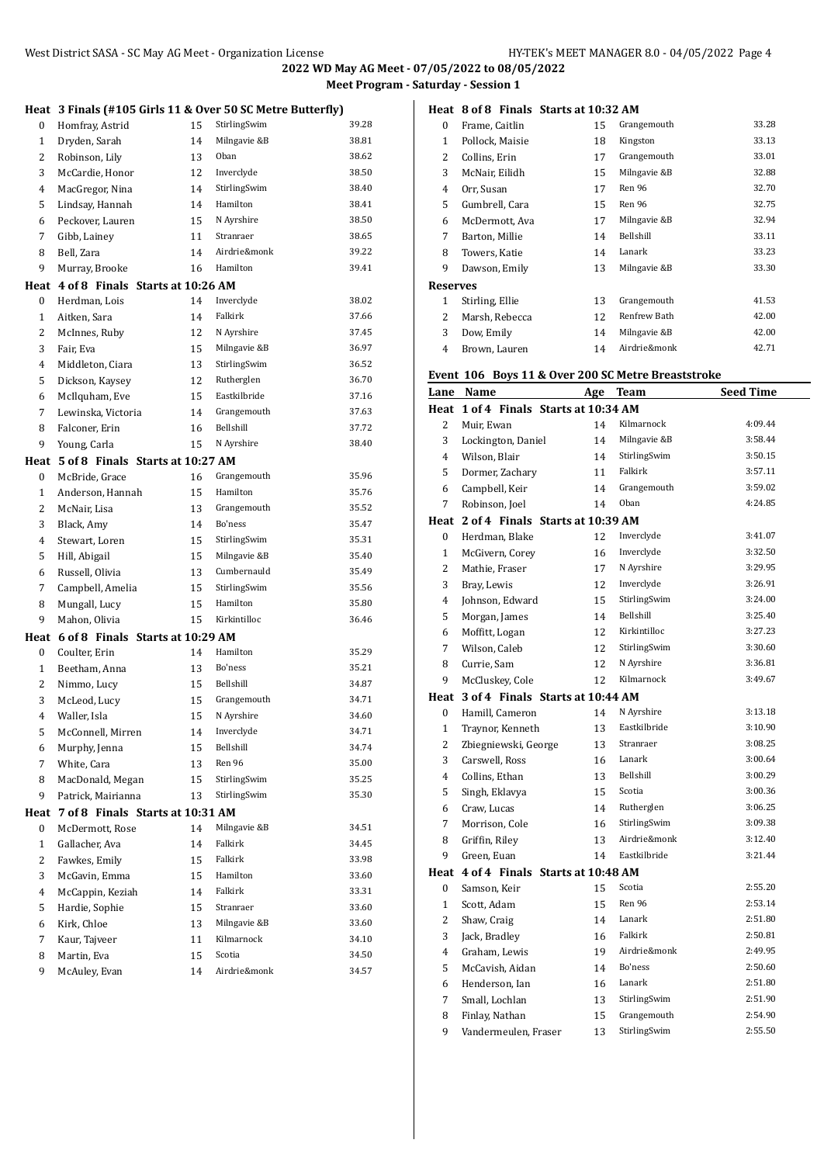|                |                                       |    | Heat 3 Finals (#105 Girls 11 & Over 50 SC Metre Butterfly) |       |
|----------------|---------------------------------------|----|------------------------------------------------------------|-------|
| 0              | Homfray, Astrid                       | 15 | StirlingSwim                                               | 39.28 |
| $\mathbf{1}$   | Dryden, Sarah                         | 14 | Milngavie &B                                               | 38.81 |
| 2              | Robinson, Lily                        | 13 | Oban                                                       | 38.62 |
| 3              | McCardie, Honor                       | 12 | Inverclyde                                                 | 38.50 |
| 4              | MacGregor, Nina                       | 14 | StirlingSwim                                               | 38.40 |
| 5              | Lindsay, Hannah                       | 14 | Hamilton                                                   | 38.41 |
| 6              | Peckover, Lauren                      | 15 | N Ayrshire                                                 | 38.50 |
| 7              | Gibb, Lainey                          | 11 | Stranraer                                                  | 38.65 |
| 8              | Bell, Zara                            | 14 | Airdrie&monk                                               | 39.22 |
| 9              | Murray, Brooke                        | 16 | Hamilton                                                   | 39.41 |
|                | Heat 4 of 8 Finals Starts at 10:26 AM |    |                                                            |       |
| 0              | Herdman, Lois                         | 14 | Inverclyde                                                 | 38.02 |
| 1              | Aitken, Sara                          | 14 | Falkirk                                                    | 37.66 |
| 2              | McInnes, Ruby                         | 12 | N Ayrshire                                                 | 37.45 |
| 3              | Fair, Eva                             | 15 | Milngavie &B                                               | 36.97 |
| 4              | Middleton, Ciara                      | 13 | StirlingSwim                                               | 36.52 |
| 5              | Dickson, Kaysey                       | 12 | Rutherglen                                                 | 36.70 |
| 6              | McIlquham, Eve                        | 15 | Eastkilbride                                               | 37.16 |
| 7              | Lewinska, Victoria                    | 14 | Grangemouth                                                | 37.63 |
| 8              | Falconer, Erin                        | 16 | Bellshill                                                  | 37.72 |
| 9              | Young, Carla                          | 15 | N Ayrshire                                                 | 38.40 |
| Heat           | 5 of 8 Finals Starts at 10:27 AM      |    |                                                            |       |
| 0              | McBride, Grace                        | 16 | Grangemouth                                                | 35.96 |
| 1              | Anderson, Hannah                      | 15 | Hamilton                                                   | 35.76 |
| 2              | McNair, Lisa                          | 13 | Grangemouth                                                | 35.52 |
| 3              | Black, Amy                            | 14 | Bo'ness                                                    | 35.47 |
| 4              | Stewart, Loren                        | 15 | StirlingSwim                                               | 35.31 |
| 5              | Hill, Abigail                         | 15 | Milngavie &B                                               | 35.40 |
| 6              | Russell, Olivia                       | 13 | Cumbernauld                                                | 35.49 |
| 7              | Campbell, Amelia                      | 15 | StirlingSwim                                               | 35.56 |
| 8              | Mungall, Lucy                         | 15 | Hamilton                                                   | 35.80 |
| 9              | Mahon, Olivia                         | 15 | Kirkintilloc                                               | 36.46 |
|                | Heat 6 of 8 Finals Starts at 10:29 AM |    |                                                            |       |
| 0              | Coulter, Erin                         | 14 | Hamilton                                                   | 35.29 |
| $\mathbf{1}$   | Beetham, Anna                         | 13 | Bo'ness                                                    | 35.21 |
| 2              | Nimmo, Lucy                           | 15 | Bellshill                                                  | 34.87 |
| 3              | McLeod, Lucy                          | 15 | Grangemouth                                                | 34.71 |
| 4              | Waller, Isla                          | 15 | N Ayrshire                                                 | 34.60 |
| 5              | McConnell, Mirren                     | 14 | Inverclyde                                                 | 34.71 |
| 6              | Murphy, Jenna                         | 15 | Bellshill                                                  | 34.74 |
| 7              | White, Cara                           | 13 | Ren 96                                                     | 35.00 |
| 8              | MacDonald, Megan                      | 15 | StirlingSwim                                               | 35.25 |
| 9              | Patrick, Mairianna                    | 13 | StirlingSwim                                               | 35.30 |
| Heat           | 7 of 8 Finals Starts at 10:31 AM      |    |                                                            |       |
| 0              | McDermott, Rose                       | 14 | Milngavie &B                                               | 34.51 |
| $\mathbf{1}$   | Gallacher, Ava                        | 14 | Falkirk                                                    | 34.45 |
| $\overline{c}$ | Fawkes, Emily                         | 15 | Falkirk                                                    | 33.98 |
| 3              | McGavin, Emma                         | 15 | Hamilton                                                   | 33.60 |
| 4              | McCappin, Keziah                      | 14 | Falkirk                                                    | 33.31 |
| 5              | Hardie, Sophie                        | 15 | Stranraer                                                  | 33.60 |
| 6              | Kirk, Chloe                           | 13 | Milngavie &B                                               | 33.60 |
| 7              | Kaur, Tajveer                         | 11 | Kilmarnock                                                 | 34.10 |
| 8              | Martin, Eva                           | 15 | Scotia                                                     | 34.50 |
| 9              | McAuley, Evan                         | 14 | Airdrie&monk                                               | 34.57 |
|                |                                       |    |                                                            |       |

## **Heat 8 of 8 Finals Starts at 10:32 AM**

| $\bf{0}$        | Frame, Caitlin  | 15 | Grangemouth  | 33.28 |
|-----------------|-----------------|----|--------------|-------|
| 1               | Pollock, Maisie | 18 | Kingston     | 33.13 |
| 2               | Collins, Erin   | 17 | Grangemouth  | 33.01 |
| 3               | McNair, Eilidh  | 15 | Milngavie &B | 32.88 |
| 4               | Orr, Susan      | 17 | Ren 96       | 32.70 |
| 5               | Gumbrell, Cara  | 15 | Ren 96       | 32.75 |
| 6               | McDermott, Ava  | 17 | Milngavie &B | 32.94 |
| 7               | Barton, Millie  | 14 | Bellshill    | 33.11 |
| 8               | Towers, Katie   | 14 | Lanark       | 33.23 |
| 9               | Dawson, Emily   | 13 | Milngavie &B | 33.30 |
| <b>Reserves</b> |                 |    |              |       |
| 1               | Stirling, Ellie | 13 | Grangemouth  | 41.53 |
| 2               | Marsh, Rebecca  | 12 | Renfrew Bath | 42.00 |
| 3               | Dow, Emily      | 14 | Milngavie &B | 42.00 |
| 4               | Brown, Lauren   | 14 | Airdrie&monk | 42.71 |

#### **Event 106 Boys 11 & Over 200 SC Metre Breaststroke**

|                | - - - -<br>Lane Name                  |    | Age Team     | <b>Seed Time</b> |
|----------------|---------------------------------------|----|--------------|------------------|
|                | Heat 1 of 4 Finals Starts at 10:34 AM |    |              |                  |
| 2              | Muir, Ewan                            | 14 | Kilmarnock   | 4:09.44          |
| 3              | Lockington, Daniel                    | 14 | Milngavie &B | 3:58.44          |
| $\overline{4}$ | Wilson, Blair                         | 14 | StirlingSwim | 3:50.15          |
| 5              | Dormer, Zachary                       | 11 | Falkirk      | 3:57.11          |
| 6              | Campbell, Keir                        | 14 | Grangemouth  | 3:59.02          |
| 7              | Robinson, Joel                        | 14 | Oban         | 4:24.85          |
|                | Heat 2 of 4 Finals Starts at 10:39 AM |    |              |                  |
| 0              | Herdman, Blake                        | 12 | Inverclyde   | 3:41.07          |
| $\mathbf{1}$   | McGivern, Corey                       | 16 | Inverclyde   | 3:32.50          |
| $\overline{2}$ | Mathie, Fraser                        | 17 | N Ayrshire   | 3:29.95          |
| 3              | Bray, Lewis                           | 12 | Inverclyde   | 3:26.91          |
| 4              | Johnson, Edward                       | 15 | StirlingSwim | 3:24.00          |
| 5              | Morgan, James                         | 14 | Bellshill    | 3:25.40          |
| 6              | Moffitt, Logan                        | 12 | Kirkintilloc | 3:27.23          |
| 7              | Wilson, Caleb                         | 12 | StirlingSwim | 3:30.60          |
| 8              | Currie, Sam                           | 12 | N Ayrshire   | 3:36.81          |
| 9              | McCluskey, Cole                       | 12 | Kilmarnock   | 3:49.67          |
|                | Heat 3 of 4 Finals Starts at 10:44 AM |    |              |                  |
| 0              | Hamill, Cameron                       | 14 | N Ayrshire   | 3:13.18          |
| $\mathbf{1}$   | Traynor, Kenneth                      | 13 | Eastkilbride | 3:10.90          |
| 2              | Zbiegniewski, George                  | 13 | Stranraer    | 3:08.25          |
| 3              | Carswell, Ross                        | 16 | Lanark       | 3:00.64          |
| $\overline{4}$ | Collins, Ethan                        | 13 | Bellshill    | 3:00.29          |
| 5              | Singh, Eklavya                        | 15 | Scotia       | 3:00.36          |
| 6              | Craw, Lucas                           | 14 | Rutherglen   | 3:06.25          |
| 7              | Morrison, Cole                        | 16 | StirlingSwim | 3:09.38          |
| 8              | Griffin, Riley                        | 13 | Airdrie&monk | 3:12.40          |
| 9              | Green, Euan                           | 14 | Eastkilbride | 3:21.44          |
|                | Heat 4 of 4 Finals Starts at 10:48 AM |    |              |                  |
| $\mathbf{0}$   | Samson, Keir                          | 15 | Scotia       | 2:55.20          |
| $\mathbf{1}$   | Scott, Adam                           | 15 | Ren 96       | 2:53.14          |
| $\overline{2}$ | Shaw, Craig                           | 14 | Lanark       | 2:51.80          |
| 3              | Jack, Bradley                         | 16 | Falkirk      | 2:50.81          |
| 4              | Graham, Lewis                         | 19 | Airdrie&monk | 2:49.95          |
| 5              | McCavish, Aidan                       | 14 | Bo'ness      | 2:50.60          |
| 6              | Henderson, Ian                        | 16 | Lanark       | 2:51.80          |
| 7              | Small, Lochlan                        | 13 | StirlingSwim | 2:51.90          |
| 8              | Finlay, Nathan                        | 15 | Grangemouth  | 2:54.90          |
| 9              | Vandermeulen, Fraser                  | 13 | StirlingSwim | 2:55.50          |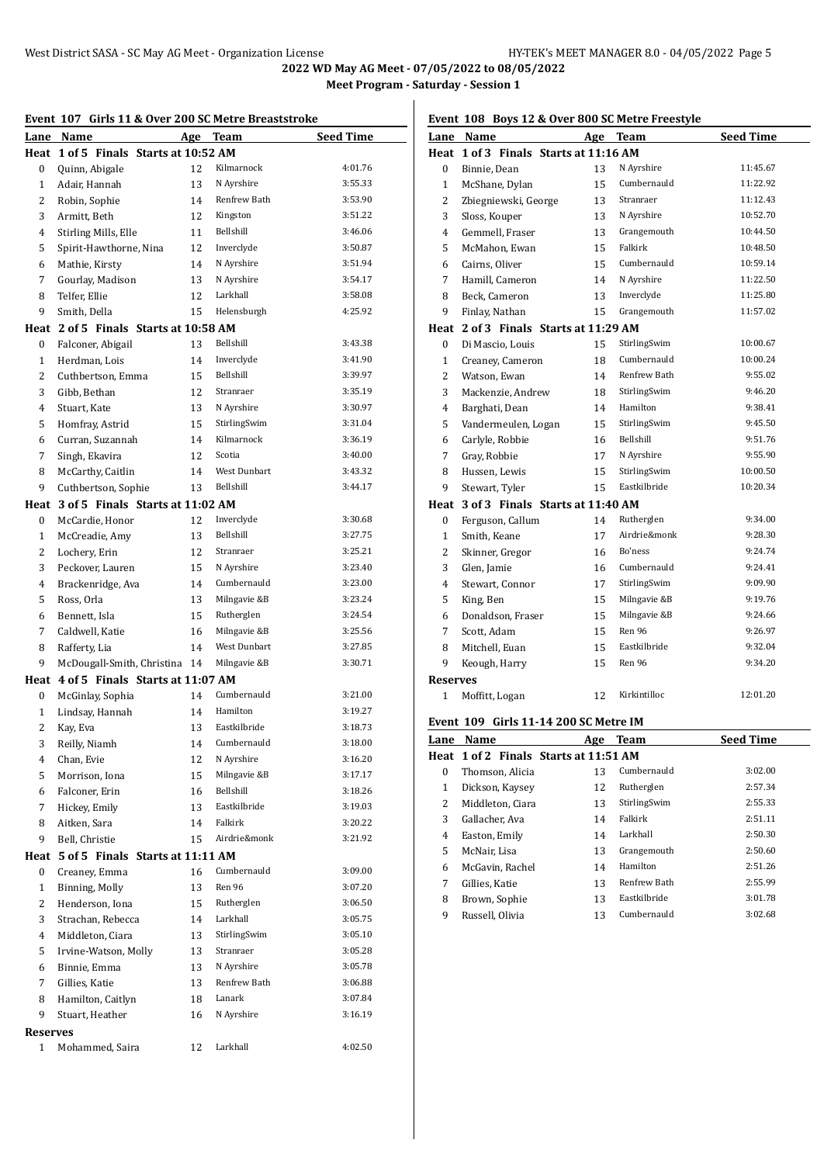|                 | Event 107 Girls 11 & Over 200 SC Metre Breaststroke |    |              |                  |  |
|-----------------|-----------------------------------------------------|----|--------------|------------------|--|
| Lane            | Name                                                |    | Age Team     | <b>Seed Time</b> |  |
|                 | Heat 1 of 5 Finals Starts at 10:52 AM               |    |              |                  |  |
| $\mathbf{0}$    | Quinn, Abigale                                      | 12 | Kilmarnock   | 4:01.76          |  |
| $\mathbf{1}$    | Adair, Hannah                                       | 13 | N Ayrshire   | 3:55.33          |  |
| $\overline{2}$  | Robin, Sophie                                       | 14 | Renfrew Bath | 3:53.90          |  |
| 3               | Armitt, Beth                                        | 12 | Kingston     | 3:51.22          |  |
| 4               | Stirling Mills, Elle                                | 11 | Bellshill    | 3:46.06          |  |
| 5               | Spirit-Hawthorne, Nina                              | 12 | Inverclyde   | 3:50.87          |  |
| 6               | Mathie, Kirsty                                      | 14 | N Ayrshire   | 3:51.94          |  |
| 7               | Gourlay, Madison                                    | 13 | N Ayrshire   | 3:54.17          |  |
| 8               | Telfer, Ellie                                       | 12 | Larkhall     | 3:58.08          |  |
| 9               | Smith, Della                                        | 15 | Helensburgh  | 4:25.92          |  |
|                 | Heat 2 of 5 Finals Starts at 10:58 AM               |    |              |                  |  |
| 0               | Falconer, Abigail                                   | 13 | Bellshill    | 3:43.38          |  |
| $\mathbf{1}$    |                                                     | 14 | Inverclyde   | 3:41.90          |  |
| $\overline{2}$  | Herdman, Lois                                       |    | Bellshill    | 3:39.97          |  |
|                 | Cuthbertson, Emma                                   | 15 | Stranraer    | 3:35.19          |  |
| 3               | Gibb, Bethan                                        | 12 |              |                  |  |
| 4               | Stuart, Kate                                        | 13 | N Ayrshire   | 3:30.97          |  |
| 5               | Homfray, Astrid                                     | 15 | StirlingSwim | 3:31.04          |  |
| 6               | Curran, Suzannah                                    | 14 | Kilmarnock   | 3:36.19          |  |
| 7               | Singh, Ekavira                                      | 12 | Scotia       | 3:40.00          |  |
| 8               | McCarthy, Caitlin                                   | 14 | West Dunbart | 3:43.32          |  |
| 9               | Cuthbertson, Sophie                                 | 13 | Bellshill    | 3:44.17          |  |
| Heat            | 3 of 5 Finals Starts at 11:02 AM                    |    |              |                  |  |
| $\bf{0}$        | McCardie, Honor                                     | 12 | Inverclyde   | 3:30.68          |  |
| $\mathbf{1}$    | McCreadie, Amy                                      | 13 | Bellshill    | 3:27.75          |  |
| $\overline{2}$  | Lochery, Erin                                       | 12 | Stranraer    | 3:25.21          |  |
| 3               | Peckover, Lauren                                    | 15 | N Ayrshire   | 3:23.40          |  |
| $\overline{4}$  | Brackenridge, Ava                                   | 14 | Cumbernauld  | 3:23.00          |  |
| 5               | Ross, Orla                                          | 13 | Milngavie &B | 3:23.24          |  |
| 6               | Bennett, Isla                                       | 15 | Rutherglen   | 3:24.54          |  |
| 7               | Caldwell, Katie                                     | 16 | Milngavie &B | 3:25.56          |  |
| 8               | Rafferty, Lia                                       | 14 | West Dunbart | 3:27.85          |  |
| 9               | McDougall-Smith, Christina                          | 14 | Milngavie &B | 3:30.71          |  |
| Heat            | 4 of 5 Finals Starts at 11:07 AM                    |    |              |                  |  |
| 0               | McGinlay, Sophia                                    | 14 | Cumbernauld  | 3:21.00          |  |
| $\mathbf{1}$    | Lindsay, Hannah                                     | 14 | Hamilton     | 3:19.27          |  |
| 2               | Kay, Eva                                            | 13 | Eastkilbride | 3:18.73          |  |
| 3               | Reilly, Niamh                                       | 14 | Cumbernauld  | 3:18.00          |  |
| $\overline{4}$  | Chan, Evie                                          | 12 | N Ayrshire   | 3:16.20          |  |
| 5               | Morrison, Iona                                      | 15 | Milngavie &B | 3:17.17          |  |
| 6               | Falconer, Erin                                      | 16 | Bellshill    | 3:18.26          |  |
| 7               | Hickey, Emily                                       | 13 | Eastkilbride | 3:19.03          |  |
| 8               | Aitken, Sara                                        | 14 | Falkirk      | 3:20.22          |  |
| 9               | Bell, Christie                                      | 15 | Airdrie&monk | 3:21.92          |  |
|                 |                                                     |    |              |                  |  |
| Heat            | 5 of 5 Finals Starts at 11:11 AM                    |    |              |                  |  |
| 0               | Creaney, Emma                                       | 16 | Cumbernauld  | 3:09.00          |  |
| $\mathbf 1$     | Binning, Molly                                      | 13 | Ren 96       | 3:07.20          |  |
| $\overline{c}$  | Henderson, Iona                                     | 15 | Rutherglen   | 3:06.50          |  |
| 3               | Strachan, Rebecca                                   | 14 | Larkhall     | 3:05.75          |  |
| 4               | Middleton, Ciara                                    | 13 | StirlingSwim | 3:05.10          |  |
| 5               | Irvine-Watson, Molly                                | 13 | Stranraer    | 3:05.28          |  |
| 6               | Binnie, Emma                                        | 13 | N Ayrshire   | 3:05.78          |  |
| 7               | Gillies, Katie                                      | 13 | Renfrew Bath | 3:06.88          |  |
| 8               | Hamilton, Caitlyn                                   | 18 | Lanark       | 3:07.84          |  |
| 9               | Stuart, Heather                                     | 16 | N Ayrshire   | 3:16.19          |  |
| <b>Reserves</b> |                                                     |    |              |                  |  |
| $\mathbf{1}$    | Mohammed, Saira                                     | 12 | Larkhall     | 4:02.50          |  |
|                 |                                                     |    |              |                  |  |

# **Event 108 Boys 12 & Over 800 SC Metre Freestyle**

| Lane                                  | Name                                  |    | Age Team     | <b>Seed Time</b> |  |  |  |  |
|---------------------------------------|---------------------------------------|----|--------------|------------------|--|--|--|--|
| Heat                                  | 1 of 3 Finals Starts at 11:16 AM      |    |              |                  |  |  |  |  |
| 0                                     | Binnie, Dean                          | 13 | N Ayrshire   | 11:45.67         |  |  |  |  |
| 1                                     | McShane, Dylan                        | 15 | Cumbernauld  | 11:22.92         |  |  |  |  |
| 2                                     | Zbiegniewski, George                  | 13 | Stranraer    | 11:12.43         |  |  |  |  |
| 3                                     | Sloss, Kouper                         | 13 | N Ayrshire   | 10:52.70         |  |  |  |  |
| 4                                     | Gemmell, Fraser                       | 13 | Grangemouth  | 10:44.50         |  |  |  |  |
| 5                                     | McMahon, Ewan                         | 15 | Falkirk      | 10:48.50         |  |  |  |  |
| 6                                     | Cairns, Oliver                        | 15 | Cumbernauld  | 10:59.14         |  |  |  |  |
| 7                                     | Hamill, Cameron                       | 14 | N Ayrshire   | 11:22.50         |  |  |  |  |
| 8                                     | Beck, Cameron                         | 13 | Inverclyde   | 11:25.80         |  |  |  |  |
| 9                                     | Finlay, Nathan                        | 15 | Grangemouth  | 11:57.02         |  |  |  |  |
|                                       | Heat 2 of 3 Finals Starts at 11:29 AM |    |              |                  |  |  |  |  |
| 0                                     | Di Mascio, Louis                      | 15 | StirlingSwim | 10:00.67         |  |  |  |  |
| 1                                     | Creaney, Cameron                      | 18 | Cumbernauld  | 10:00.24         |  |  |  |  |
| 2                                     | Watson, Ewan                          | 14 | Renfrew Bath | 9:55.02          |  |  |  |  |
| 3                                     | Mackenzie, Andrew                     | 18 | StirlingSwim | 9:46.20          |  |  |  |  |
| 4                                     | Barghati, Dean                        | 14 | Hamilton     | 9:38.41          |  |  |  |  |
| 5                                     | Vandermeulen, Logan                   | 15 | StirlingSwim | 9:45.50          |  |  |  |  |
| 6                                     | Carlyle, Robbie                       | 16 | Bellshill    | 9:51.76          |  |  |  |  |
| 7                                     | Gray, Robbie                          | 17 | N Ayrshire   | 9:55.90          |  |  |  |  |
| 8                                     | Hussen, Lewis                         | 15 | StirlingSwim | 10:00.50         |  |  |  |  |
| 9                                     | Stewart, Tyler                        | 15 | Eastkilbride | 10:20.34         |  |  |  |  |
|                                       | Heat 3 of 3 Finals Starts at 11:40 AM |    |              |                  |  |  |  |  |
| 0                                     | Ferguson, Callum                      | 14 | Rutherglen   | 9:34.00          |  |  |  |  |
| $\mathbf{1}$                          | Smith, Keane                          | 17 | Airdrie&monk | 9:28.30          |  |  |  |  |
| 2                                     | Skinner, Gregor                       | 16 | Bo'ness      | 9:24.74          |  |  |  |  |
| 3                                     | Glen, Jamie                           | 16 | Cumbernauld  | 9:24.41          |  |  |  |  |
| 4                                     | Stewart, Connor                       | 17 | StirlingSwim | 9:09.90          |  |  |  |  |
| 5                                     | King, Ben                             | 15 | Milngavie &B | 9:19.76          |  |  |  |  |
| 6                                     | Donaldson, Fraser                     | 15 | Milngavie &B | 9:24.66          |  |  |  |  |
| 7                                     | Scott, Adam                           | 15 | Ren 96       | 9:26.97          |  |  |  |  |
| 8                                     | Mitchell, Euan                        | 15 | Eastkilbride | 9:32.04          |  |  |  |  |
| 9                                     | Keough, Harry                         | 15 | Ren 96       | 9:34.20          |  |  |  |  |
| Reserves                              |                                       |    |              |                  |  |  |  |  |
| 1                                     | Moffitt, Logan                        | 12 | Kirkintilloc | 12:01.20         |  |  |  |  |
| Event 109 Girls 11-14 200 SC Metre IM |                                       |    |              |                  |  |  |  |  |
|                                       |                                       |    |              |                  |  |  |  |  |

| Name             | Age | Team         | <b>Seed Time</b>                      |
|------------------|-----|--------------|---------------------------------------|
|                  |     |              |                                       |
| Thomson, Alicia  | 13  | Cumbernauld  | 3:02.00                               |
| Dickson, Kaysey  | 12  | Rutherglen   | 2:57.34                               |
| Middleton, Ciara | 13  | StirlingSwim | 2:55.33                               |
| Gallacher, Ava   | 14  | Falkirk      | 2:51.11                               |
| Easton, Emily    | 14  | Larkhall     | 2:50.30                               |
| McNair, Lisa     | 13  | Grangemouth  | 2:50.60                               |
| McGavin, Rachel  | 14  | Hamilton     | 2:51.26                               |
| Gillies, Katie   | 13  | Renfrew Bath | 2:55.99                               |
| Brown, Sophie    | 13  | Eastkilbride | 3:01.78                               |
| Russell, Olivia  | 13  | Cumbernauld  | 3:02.68                               |
|                  |     |              | Heat 1 of 2 Finals Starts at 11:51 AM |